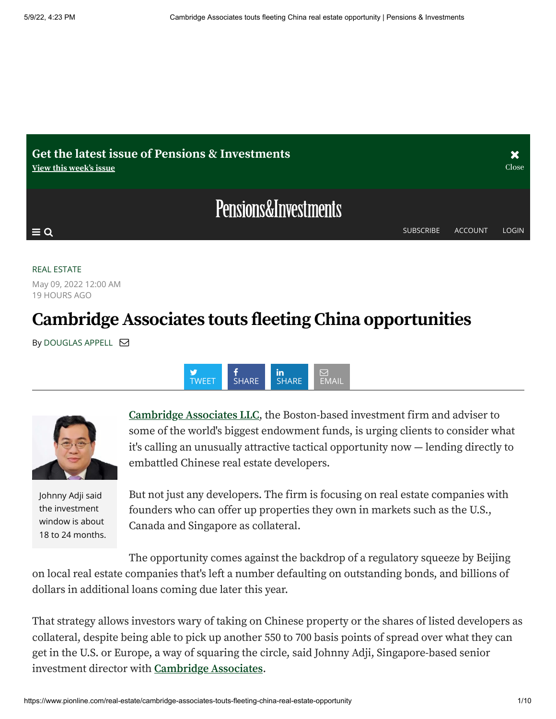

#### [REAL ESTATE](https://www.pionline.com/real-estate)

May 09, 2022 12:00 AM 19 HOURS AGO

## **CambridgeAssociates touts fleeting China opportunities**

By [DOUGLAS APPELL](https://www.pionline.com/staff/DAPPELL)





Johnny Adji said the investment window is about 18 to 24 months.

**[Cambridge](https://researchcenter.pionline.com/rankings/consultant/profiles/33926/overview) Associates LLC**, the Boston-based investment firm and adviser to some of the world's biggest endowment funds, is urging clients to consider what it's calling an unusually attractive tactical opportunity now — lending directly to embattled Chinese real estate developers.

But not just any developers. The firm is focusing on real estate companies with founders who can offer up properties they own in markets such as the U.S., Canada and Singapore as collateral.

The opportunity comes against the backdrop of a regulatory squeeze by Beijing on local real estate companies that's left a number defaulting on outstanding bonds, and billions of dollars in additional loans coming due later this year.

That strategy allows investors wary of taking on Chinese property or the shares of listed developers as collateral, despite being able to pick up another 550 to 700 basis points of spread over what they can get in the U.S. or Europe, a way of squaring the circle, said Johnny Adji, Singapore-based senior investment director with **[Cambridge](https://researchcenter.pionline.com/rankings/consultant/profiles/33926/overview) Associates**.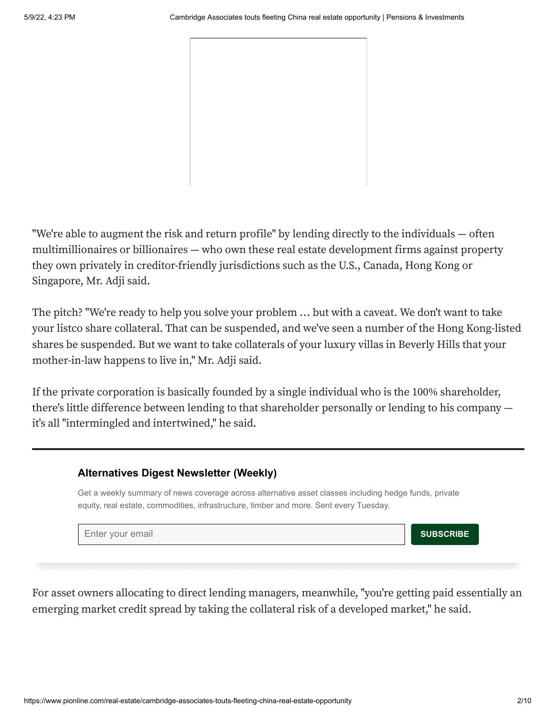"We're able to augment the risk and return profile" by lending directly to the individuals — often multimillionaires or billionaires — who own these real estate development firms against property they own privately in creditor-friendly jurisdictions such as the U.S., Canada, Hong Kong or Singapore, Mr. Adji said.

The pitch? "We're ready to help you solve your problem … but with a caveat. We don't want to take your listco share collateral. That can be suspended, and we've seen a number of the Hong Kong-listed shares be suspended. But we want to take collaterals of your luxury villas in Beverly Hills that your mother-in-law happens to live in," Mr. Adji said.

If the private corporation is basically founded by a single individual who is the 100% shareholder, there's little difference between lending to that shareholder personally or lending to his company it's all "intermingled and intertwined," he said.

#### **Alternatives Digest Newsletter (Weekly)**

Get a weekly summary of news coverage across alternative asset classes including hedge funds, private equity, real estate, commodities, infrastructure, timber and more. Sent every Tuesday.

**Enter your email contract of the subset of the subset of the subset of the SUBSCRIBE** 

For asset owners allocating to direct lending managers, meanwhile, "you're getting paid essentially an emerging market credit spread by taking the collateral risk of a developed market," he said.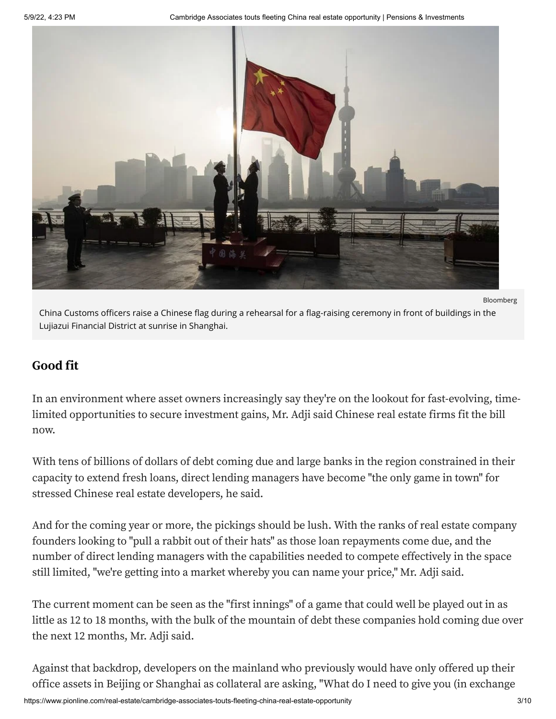

Bloomberg China Customs officers raise a Chinese flag during a rehearsal for a flag-raising ceremony in front of buildings in the Lujiazui Financial District at sunrise in Shanghai.

#### **Good fit**

In an environment where asset owners increasingly say they're on the lookout for fast-evolving, timelimited opportunities to secure investment gains, Mr. Adji said Chinese real estate firms fit the bill now.

With tens of billions of dollars of debt coming due and large banks in the region constrained in their capacity to extend fresh loans, direct lending managers have become "the only game in town" for stressed Chinese real estate developers, he said.

And for the coming year or more, the pickings should be lush. With the ranks of real estate company founders looking to "pull a rabbit out of their hats" as those loan repayments come due, and the number of direct lending managers with the capabilities needed to compete effectively in the space still limited, "we're getting into a market whereby you can name your price," Mr. Adji said.

The current moment can be seen as the "first innings" of a game that could well be played out in as little as 12 to 18 months, with the bulk of the mountain of debt these companies hold coming due over the next 12 months, Mr. Adji said.

Against that backdrop, developers on the mainland who previously would have only offered up their office assets in Beijing or Shanghai as collateral are asking, "What do I need to give you (in exchange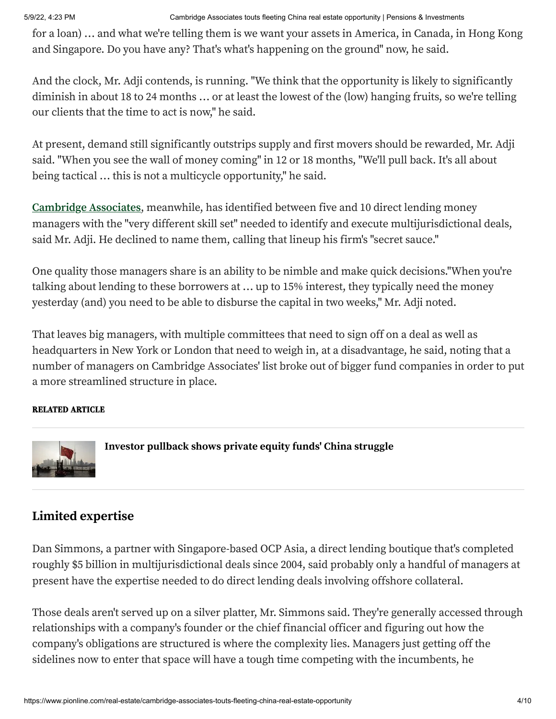5/9/22, 4:23 PM Cambridge Associates touts fleeting China real estate opportunity | Pensions & Investments

for a loan) … and what we're telling them is we want your assets in America, in Canada, in Hong Kong and Singapore. Do you have any? That's what's happening on the ground" now, he said.

And the clock, Mr. Adji contends, is running. "We think that the opportunity is likely to significantly diminish in about 18 to 24 months … or at least the lowest of the (low) hanging fruits, so we're telling our clients that the time to act is now," he said.

At present, demand still significantly outstrips supply and first movers should be rewarded, Mr. Adji said. "When you see the wall of money coming" in 12 or 18 months, "We'll pull back. It's all about being tactical … this is not a multicycle opportunity," he said.

**[Cambridge](https://researchcenter.pionline.com/rankings/consultant/profiles/33926/overview) Associates**, meanwhile, has identified between five and 10 direct lending money managers with the "very different skill set" needed to identify and execute multijurisdictional deals, said Mr. Adji. He declined to name them, calling that lineup his firm's "secret sauce."

One quality those managers share is an ability to be nimble and make quick decisions."When you're talking about lending to these borrowers at … up to 15% interest, they typically need the money yesterday (and) you need to be able to disburse the capital in two weeks," Mr. Adji noted.

That leaves big managers, with multiple committees that need to sign off on a deal as well as headquarters in New York or London that need to weigh in, at a disadvantage, he said, noting that a number of managers on Cambridge Associates' list broke out of bigger fund companies in order to put a more streamlined structure in place.

#### RELATED ARTICLE



**Investor [pullback](https://www.pionline.com/private-equity/investor-pullback-shows-private-equity-funds-china-struggle) shows private equity funds' China struggle**

### **Limited expertise**

Dan Simmons, a partner with Singapore-based OCP Asia, a direct lending boutique that's completed roughly \$5 billion in multijurisdictional deals since 2004, said probably only a handful of managers at present have the expertise needed to do direct lending deals involving offshore collateral.

Those deals aren't served up on a silver platter, Mr. Simmons said. They're generally accessed through relationships with a company's founder or the chief financial officer and figuring out how the company's obligations are structured is where the complexity lies. Managers just getting off the sidelines now to enter that space will have a tough time competing with the incumbents, he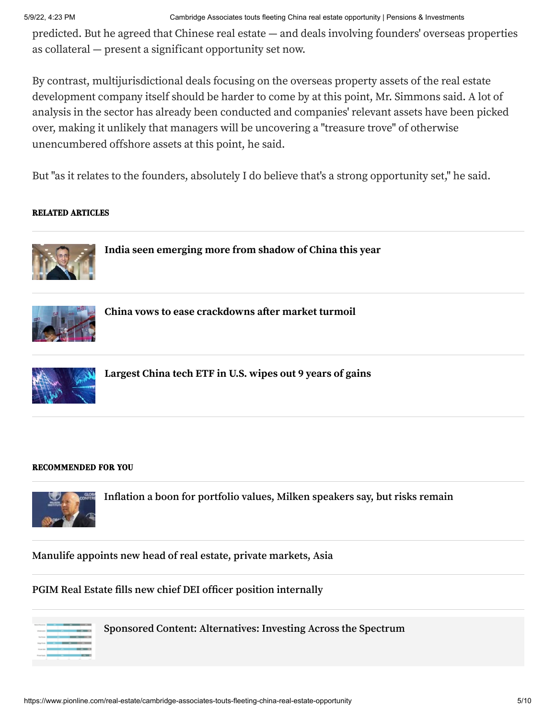5/9/22, 4:23 PM Cambridge Associates touts fleeting China real estate opportunity | Pensions & Investments

predicted. But he agreed that Chinese real estate — and deals involving founders' overseas properties as collateral — present a significant opportunity set now.

By contrast, multijurisdictional deals focusing on the overseas property assets of the real estate development company itself should be harder to come by at this point, Mr. Simmons said. A lot of analysis in the sector has already been conducted and companies' relevant assets have been picked over, making it unlikely that managers will be uncovering a "treasure trove" of otherwise unencumbered offshore assets at this point, he said.

But "as it relates to the founders, absolutely I do believe that's a strong opportunity set," he said.

#### RELATED ARTICLES



**India seen [emerging](https://www.pionline.com/investing/india-seen-emerging-further-chinas-shadow-year) more from shadow of China this year**



**China vows to ease [crackdowns](https://www.pionline.com/markets/china-vows-ease-crackdowns-after-market-turmoil) after market turmoil**



**[Largest](https://www.pionline.com/exchange-traded-funds/largest-china-tech-etf-us-wipes-out-9-years-gains) China tech ETF in U.S. wipes out 9 years of gains**

#### RECOMMENDED FOR YOU



**[Inflation a boon for portfolio values, Milken speakers say, but risks remain](https://www.pionline.com/real-estate/inflation-boon-portfolio-values-milken-speakers-say-risks-remain)**

**[Manulife appoints new head of real estate, private markets, Asia](https://www.pionline.com/real-estate/manulife-appoints-new-head-real-estate-private-markets-asia)**

#### **PGIM Real Estate [fills new chief DEI officer position internally](https://www.pionline.com/real-estate/pgim-real-estate-fills-new-chief-dei-officer-position-internally)**



**[Sponsored Content: Alternatives: Investing Across the Spectrum](https://www.pionline.com/alts-Report2022)**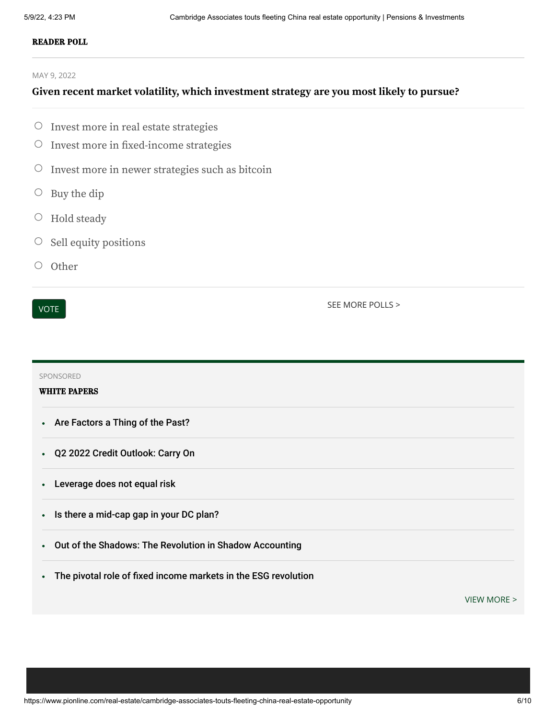#### READER POLL

MAY 9, 2022

#### **Given recent market volatility, which investment strategy are you most likely to pursue?**

- $\circ$  Invest more in real estate strategies
- Invest more in fixed-income strategies  $\bigcirc$
- Invest more in newer strategies such as bitcoin  $\bigcirc$
- Buy the dip  $\bigcirc$
- Hold steady  $\circlearrowright$
- Sell equity positions  $\bigcirc$
- $\bigcirc$ **Other**

VOTE

[SEE MORE POLLS >](https://www.pionline.com/polls)

SPONSORED WHITE PAPERS [Are Factors a Thing of the Past?](https://www.pionline.com/white-paper/are-factors-thing-past)  $\bullet$ [Q2 2022 Credit Outlook: Carry On](https://www.pionline.com/white-paper/q2-2022-credit-outlook-carry)  $\bullet$ [Leverage does not equal risk](https://www.pionline.com/white-paper/leverage-does-not-equal-risk)  $\bullet$ [Is there a mid-cap gap in your DC plan?](https://www.pionline.com/white-paper/there-mid-cap-gap-your-dc-plan)  $\bullet$ [Out of the Shadows: The Revolution in Shadow Accounting](https://www.pionline.com/white-paper/out-shadows-revolution-shadow-accounting)  $\bullet$ [The pivotal role of fixed income markets in the ESG revolution](https://www.pionline.com/white-paper/pivotal-role-fixed-income-markets-esg-revolution-0)  $\bullet$ 

[VIEW MORE](https://www.pionline.com/white-papers) >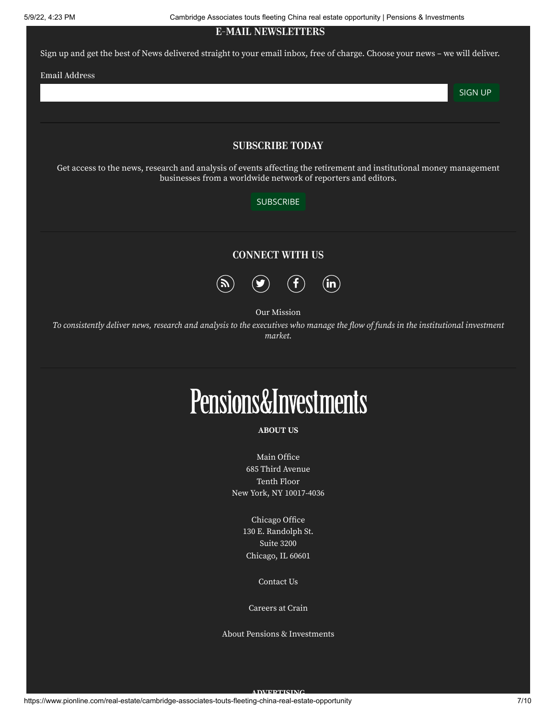5/9/22, 4:23 PM Cambridge Associates touts fleeting China real estate opportunity | Pensions & Investments

E-MAIL NEWSLETTERS

Sign up and get the best of News delivered straight to your email inbox, free of charge. Choose your news - we will deliver.

Email Address

SIGN UP

#### SUBSCRIBE TODAY

Get access to the news, research and analysis of events affecting the retirement and institutional money management businesses from a worldwide network of reporters and editors.

#### **[SUBSCRIBE](https://www.pionline.com/subscribe)**

#### CONNECT WITH US



Our Mission

To consistently deliver news, research and analysis to the executives who manage the flow of funds in the institutional investment *market.*

# **Pensions&Investments**

#### **ABOUT US**

Main Office 685 Third Avenue Tenth Floor New York, NY [10017-4036](https://www.google.com/maps/search/685+Third+Avenue+Tenth+Floor+New+York,+NY+10017-4036/@40.751491,-73.9757852,17z/data=!3m1!4b1)

> Chicago Office 130 E. [Randolph](https://www.google.com/maps/place/Smurfit-Stone+Bldg,+150+N+Michigan+Ave,+Chicago,+IL+60601/@41.8847856,-87.6271547,17z/data=!3m1!4b1!4m5!3m4!1s0x880e2ca58cf8336f:0x5581ffe4238671ac!8m2!3d41.8847816!4d-87.6249607) St. Suite 3200 Chicago, IL 60601

> > [Contact](https://www.pionline.com/contact) Us

[Careers](https://www.crain.com/careers/) at Crain

About Pensions & [Investments](https://www.pionline.com/about)

**ADVERTISING**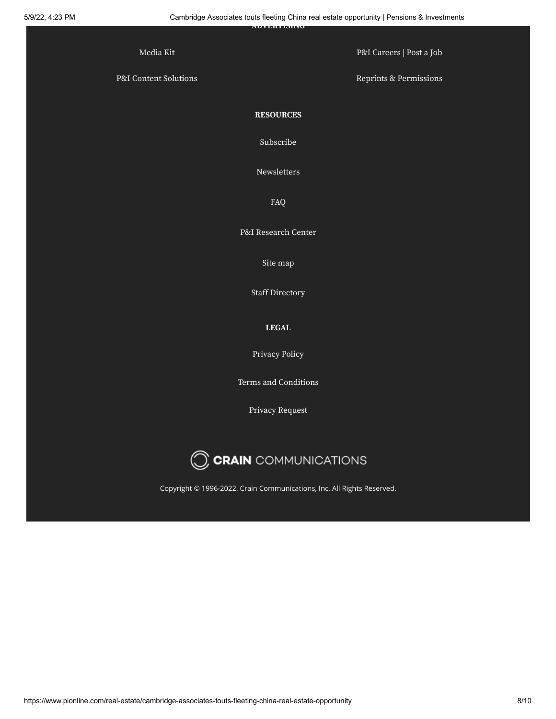|                              | <b>AUVERUPDING</b>                                                     | . .                      |
|------------------------------|------------------------------------------------------------------------|--------------------------|
| Media Kit                    |                                                                        | P&I Careers   Post a Job |
| P&I Content Solutions        |                                                                        | Reprints & Permissions   |
|                              | <b>RESOURCES</b>                                                       |                          |
|                              | Subscribe                                                              |                          |
|                              | Newsletters                                                            |                          |
|                              | FAQ                                                                    |                          |
|                              | P&I Research Center                                                    |                          |
|                              | Site map                                                               |                          |
|                              | <b>Staff Directory</b>                                                 |                          |
|                              | ${\bf L E}{\bf G}{\bf A}{\bf L}$                                       |                          |
|                              | Privacy Policy                                                         |                          |
|                              | Terms and Conditions                                                   |                          |
|                              | Privacy Request                                                        |                          |
| <b>CCRAIN</b> COMMUNICATIONS |                                                                        |                          |
|                              | Copyright © 1996-2022. Crain Communications, Inc. All Rights Reserved. |                          |